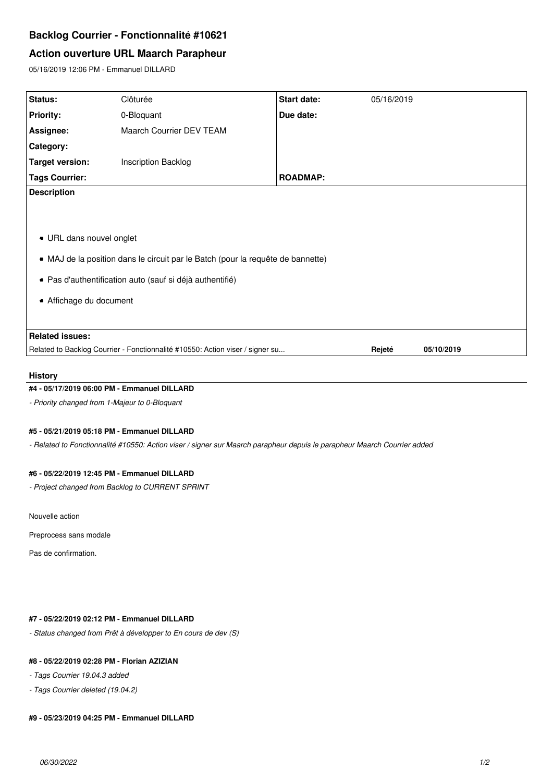# **Backlog Courrier - Fonctionnalité #10621**

# **Action ouverture URL Maarch Parapheur**

05/16/2019 12:06 PM - Emmanuel DILLARD

| Status:                                                                         | Clôturée                   | Start date:     | 05/16/2019 |            |
|---------------------------------------------------------------------------------|----------------------------|-----------------|------------|------------|
| <b>Priority:</b>                                                                | 0-Bloquant                 | Due date:       |            |            |
| Assignee:                                                                       | Maarch Courrier DEV TEAM   |                 |            |            |
| Category:                                                                       |                            |                 |            |            |
| <b>Target version:</b>                                                          | <b>Inscription Backlog</b> |                 |            |            |
| <b>Tags Courrier:</b>                                                           |                            | <b>ROADMAP:</b> |            |            |
| <b>Description</b>                                                              |                            |                 |            |            |
|                                                                                 |                            |                 |            |            |
|                                                                                 |                            |                 |            |            |
| • URL dans nouvel onglet                                                        |                            |                 |            |            |
| • MAJ de la position dans le circuit par le Batch (pour la requête de bannette) |                            |                 |            |            |
| • Pas d'authentification auto (sauf si déjà authentifié)                        |                            |                 |            |            |
|                                                                                 |                            |                 |            |            |
| • Affichage du document                                                         |                            |                 |            |            |
|                                                                                 |                            |                 |            |            |
| <b>Related issues:</b>                                                          |                            |                 |            |            |
| Related to Backlog Courrier - Fonctionnalité #10550: Action viser / signer su   |                            |                 | Rejeté     | 05/10/2019 |

# **History**

#### **#4 - 05/17/2019 06:00 PM - Emmanuel DILLARD**

*- Priority changed from 1-Majeur to 0-Bloquant*

## **#5 - 05/21/2019 05:18 PM - Emmanuel DILLARD**

*- Related to Fonctionnalité #10550: Action viser / signer sur Maarch parapheur depuis le parapheur Maarch Courrier added*

### **#6 - 05/22/2019 12:45 PM - Emmanuel DILLARD**

*- Project changed from Backlog to CURRENT SPRINT*

Nouvelle action

Preprocess sans modale

Pas de confirmation.

# **#7 - 05/22/2019 02:12 PM - Emmanuel DILLARD**

*- Status changed from Prêt à développer to En cours de dev (S)*

#### **#8 - 05/22/2019 02:28 PM - Florian AZIZIAN**

- *Tags Courrier 19.04.3 added*
- *Tags Courrier deleted (19.04.2)*

# **#9 - 05/23/2019 04:25 PM - Emmanuel DILLARD**